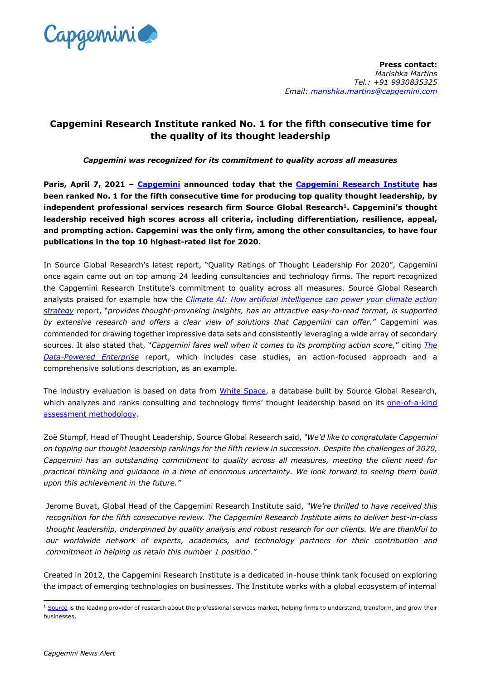

## **Capgemini Research Institute ranked No. 1 for the fifth consecutive time for the quality of its thought leadership**

*Capgemini was recognized for its commitment to quality across all measures*

**Paris, April 7, 2021 – [Capgemini](https://www.capgemini.com/) announced today that the [Capgemini Research Institute](https://www.capgemini.com/researchinstitute/) has been ranked No. 1 for the fifth consecutive time for producing top quality thought leadership, by independent professional services research firm Source Global Research<sup>1</sup>. Capgemini's thought leadership received high scores across all criteria, including differentiation, resilience, appeal, and prompting action. Capgemini was the only firm, among the other consultancies, to have four publications in the top 10 highest-rated list for 2020.**

In Source Global Research's latest report, "Quality Ratings of Thought Leadership For 2020", Capgemini once again came out on top among 24 leading consultancies and technology firms. The report recognized the Capgemini Research Institute's commitment to quality across all measures. Source Global Research analysts praised for example how the *[Climate AI: How artificial intelligence can power your climate action](https://www.capgemini.com/research/climate-ai/?utm_source=pr&utm_medium=referral&utm_content=performai_none_link_pressrelease_none&utm_campaign=performai_cri_climate_change)  [strategy](https://www.capgemini.com/research/climate-ai/?utm_source=pr&utm_medium=referral&utm_content=performai_none_link_pressrelease_none&utm_campaign=performai_cri_climate_change)* report, "*provides thought-provoking insights, has an attractive easy-to-read format, is supported by extensive research and offers a clear view of solutions that Capgemini can offer.*" Capgemini was commended for drawing together impressive data sets and consistently leveraging a wide array of secondary sources. It also stated that, "*Capgemini fares well when it comes to its prompting action score,*" citing *[The](https://www.capgemini.com/research/the-data-powered-enterprise/?utm_source=pr&utm_medium=referral&utm_content=insightsdata_none_link_pressrelease_none&utm_campaign=AI_Analytics_cri_data_powered_enterprise)  [Data-Powered Enterprise](https://www.capgemini.com/research/the-data-powered-enterprise/?utm_source=pr&utm_medium=referral&utm_content=insightsdata_none_link_pressrelease_none&utm_campaign=AI_Analytics_cri_data_powered_enterprise)* report, which includes case studies, an action-focused approach and a comprehensive solutions description, as an example.

The industry evaluation is based on data from [White Space,](https://whitespace.sourceglobalresearch.com/portal/whitespace/) a database built by Source Global Research, which analyzes and ranks consulting and technology firms' thought leadership based on its one-of-a-kind [assessment methodology.](https://reports.sourceglobalresearch.com/report/7099/quality-ratings-methodology-for-2020)

Zoë Stumpf, Head of Thought Leadership, Source Global Research said, *"We'd like to congratulate Capgemini on topping our thought leadership rankings for the fifth review in succession. Despite the challenges of 2020, Capgemini has an outstanding commitment to quality across all measures, meeting the client need for practical thinking and guidance in a time of enormous uncertainty. We look forward to seeing them build upon this achievement in the future."*

Jerome Buvat, Global Head of the Capgemini Research Institute said, *"We're thrilled to have received this recognition for the fifth consecutive review. The Capgemini Research Institute aims to deliver best-in-class thought leadership, underpinned by quality analysis and robust research for our clients. We are thankful to our worldwide network of experts, academics, and technology partners for their contribution and commitment in helping us retain this number 1 position."*

Created in 2012, the Capgemini Research Institute is a dedicated in-house think tank focused on exploring the impact of emerging technologies on businesses. The Institute works with a global ecosystem of internal

 $\overline{a}$  $1$  [Source](https://www.sourceglobalresearch.com/) is the leading provider of research about the professional services market, helping firms to understand, transform, and grow their businesses.